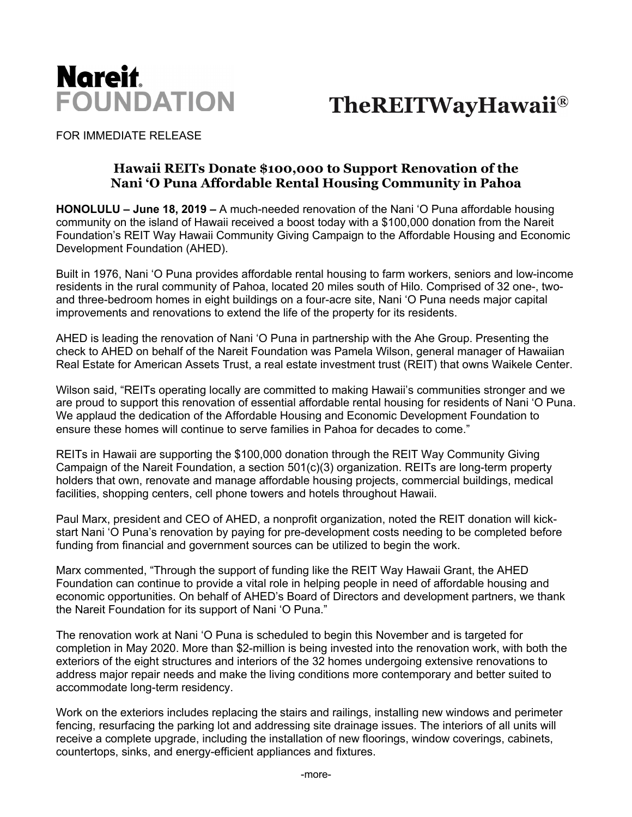

**TheREITWayHawaii®** 

FOR IMMEDIATE RELEASE

## **Hawaii REITs Donate \$100,000 to Support Renovation of the Nani 'O Puna Affordable Rental Housing Community in Pahoa**

**HONOLULU – June 18, 2019 –** A much-needed renovation of the Nani 'O Puna affordable housing community on the island of Hawaii received a boost today with a \$100,000 donation from the Nareit Foundation's REIT Way Hawaii Community Giving Campaign to the Affordable Housing and Economic Development Foundation (AHED).

Built in 1976, Nani 'O Puna provides affordable rental housing to farm workers, seniors and low-income residents in the rural community of Pahoa, located 20 miles south of Hilo. Comprised of 32 one-, twoand three-bedroom homes in eight buildings on a four-acre site, Nani 'O Puna needs major capital improvements and renovations to extend the life of the property for its residents.

AHED is leading the renovation of Nani 'O Puna in partnership with the Ahe Group. Presenting the check to AHED on behalf of the Nareit Foundation was Pamela Wilson, general manager of Hawaiian Real Estate for American Assets Trust, a real estate investment trust (REIT) that owns Waikele Center.

Wilson said, "REITs operating locally are committed to making Hawaii's communities stronger and we are proud to support this renovation of essential affordable rental housing for residents of Nani 'O Puna. We applaud the dedication of the Affordable Housing and Economic Development Foundation to ensure these homes will continue to serve families in Pahoa for decades to come."

REITs in Hawaii are supporting the \$100,000 donation through the REIT Way Community Giving Campaign of the Nareit Foundation, a section 501(c)(3) organization. REITs are long-term property holders that own, renovate and manage affordable housing projects, commercial buildings, medical facilities, shopping centers, cell phone towers and hotels throughout Hawaii.

Paul Marx, president and CEO of AHED, a nonprofit organization, noted the REIT donation will kickstart Nani 'O Puna's renovation by paying for pre-development costs needing to be completed before funding from financial and government sources can be utilized to begin the work.

Marx commented, "Through the support of funding like the REIT Way Hawaii Grant, the AHED Foundation can continue to provide a vital role in helping people in need of affordable housing and economic opportunities. On behalf of AHED's Board of Directors and development partners, we thank the Nareit Foundation for its support of Nani 'O Puna."

The renovation work at Nani 'O Puna is scheduled to begin this November and is targeted for completion in May 2020. More than \$2-million is being invested into the renovation work, with both the exteriors of the eight structures and interiors of the 32 homes undergoing extensive renovations to address major repair needs and make the living conditions more contemporary and better suited to accommodate long-term residency.

Work on the exteriors includes replacing the stairs and railings, installing new windows and perimeter fencing, resurfacing the parking lot and addressing site drainage issues. The interiors of all units will receive a complete upgrade, including the installation of new floorings, window coverings, cabinets, countertops, sinks, and energy-efficient appliances and fixtures.